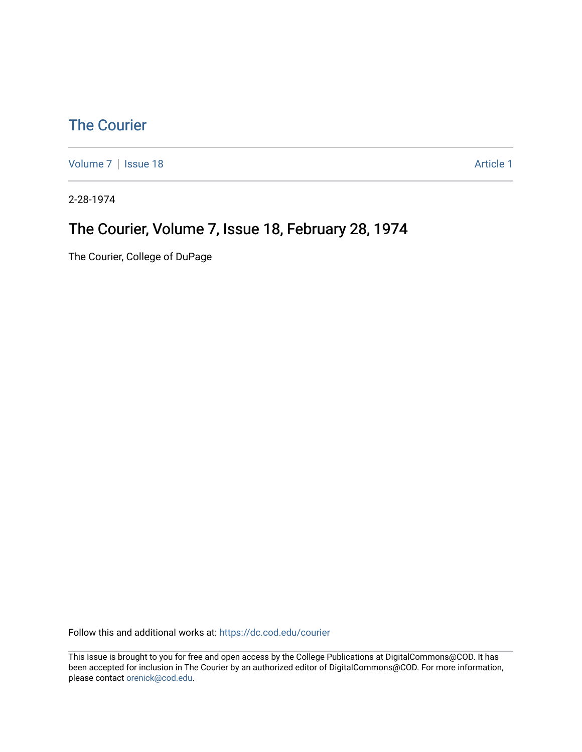## [The Courier](https://dc.cod.edu/courier)

[Volume 7](https://dc.cod.edu/courier/vol7) | [Issue 18](https://dc.cod.edu/courier/vol7/iss18) Article 1

2-28-1974

## The Courier, Volume 7, Issue 18, February 28, 1974

The Courier, College of DuPage

Follow this and additional works at: [https://dc.cod.edu/courier](https://dc.cod.edu/courier?utm_source=dc.cod.edu%2Fcourier%2Fvol7%2Fiss18%2F1&utm_medium=PDF&utm_campaign=PDFCoverPages)

This Issue is brought to you for free and open access by the College Publications at DigitalCommons@COD. It has been accepted for inclusion in The Courier by an authorized editor of DigitalCommons@COD. For more information, please contact [orenick@cod.edu.](mailto:orenick@cod.edu)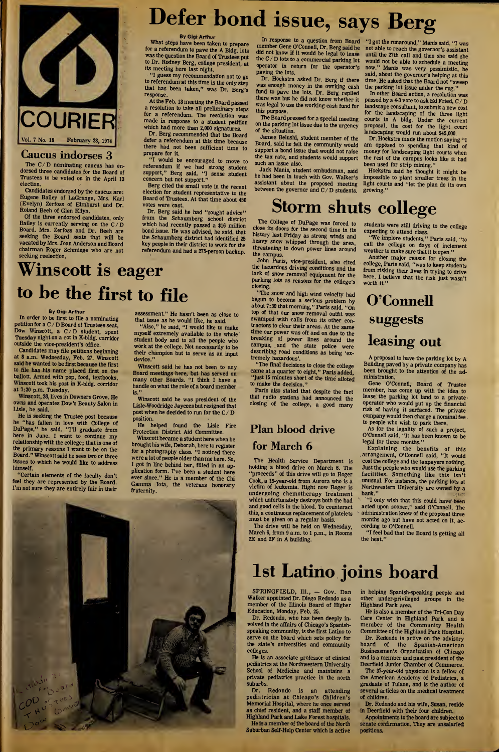

## Caucus indorses 3

The  $C/D$  nominating caucus has endorsed three candidates for the Board of Trustees to be voted on in the April 13 election.

Candidates endorsed by the caucus are: Eugene Bailey of LaGrange, Mrs. Karl (Evelyn) Zerfoss of Elmhurst and Dr. Roland Beeh of Glen Ellyn.

Of the three endorsed candidates, only Bailey is currently serving on the C/D Board. Mrs. Zerfoss and Dr. Beeh are seeking the Board seats that will be vacated by Mrs. Joan Anderson and Board chairman Roger Schmiege who are not seeking reelection.

# Defer bond issue, says Berg

By Gigi Arthur

What steps have been taken to prepare for a referendum to pave the A Bldg, lots was the question the Board of Trustees put to Dr. Rodney Berg, college president, at its meeting here last night.

"I guess my recommendation not to go to referendum at this time is the only step that has been taken," was Dr. Berg's response

At the Feb. 13 meeting the Board passed a resolution to take all preliminary steps for a referendum. The resolution was made in response to a student petition which had more than 2,000 signatures.

Dr. Berg recommended that the Board defer a referendum at this time because there had not been sufficient time to prepare for it.

"I would be encouraged to move to referendum if we had strong student support," Berg said. "I sense student concern but not support."

Berg cited the small vote in the recent election for student representative to the Board of Trustees. At that time about 450 votes were cast.

Dr. Berg said he had "sought advice" from the Schaumberg school district which had recently passed a \$16 million bond issue. He was advised, he said, that the Schaumberg district had identified 25 key people in their district to work for the referendum and had a 275-person backup.

Winscott is eager to be the first to file

### By Gigi Arthur

In order to be first to file a nominating petition for <sup>a</sup> <sup>C</sup> / <sup>D</sup> Board of Trustees seat, Dow Winscott, a C/D student, spent Tuesday night on a cot in K-bldg. corridor outside the vice-president's office.

Candidates may file petitions beginning at 8 a.m. Wednesday, Feb. 27. Winscott said he wanted to be first because the first to file has his name placed first on the ballott. Armed with pop, food, textbooks, Winscott took his post in K-bldg. corridor at 7:30 p.m. Tuesday.

Winscott, 28, lives in Downers Grove. He owns and operates Dow's Beauty Salon in Lisle, he said.

He is seeking the Trustee post because he "has fallen in love with College of DuPage," he said. "I'll graduate from here in June. I want to continue my relationship with the college; that is one of the primary reasons I want to be on the Board." Winscottsaid he sees two or three issues to which he would like to address himself.

"Certain elements of the faculty don't feel they are represented by the Board. I'm not sure they are entirely fair in their

essment." He hasn't been as close to that issue as he would like, he said.

"Also," he said, "I would like to make myself extremely available to the whole student body and to all the people who work at the college. Not necessarily to be their champion but to serve as an input device."

Winscott said he has not been to any Board meetings here, but has served on many other Boards. "I think I have a handle on what the role of a board member is."

Winscott said he was president of the Lisle-Woodridge Jaycees but resigned that post when he decided to run for the <sup>C</sup> / <sup>D</sup> position.

He helped found the Lisle Fire Protection District Aid Committee.

Winscott became a student here when he brought his wife, Deborah, here to register were a lot of people older than me here. So, plication form. I've been a student here ever since." He is a member of the Chi Gamma Iota, the veterans honorary fraternity.

for a photography class. "I noticed there I got in line behind her, filled in an ap-

In response to a question from Board member Gene O'Connell, Dr. Berg said he did not know if it would be legal to lease the <sup>C</sup> / <sup>D</sup> lots to <sup>a</sup> commercial parking lot operator in return for the operator's paving the lots.

Dr. Hoekstra asked Dr. Berg if there was enough money in the owrking cash fund to pave the lots. Dr. Berg replied there was but he did not know whether it was legal to use the working cash fund for this purpose.

The Board pressed for a special meeting on the parking lot issue due to the urgency of the situation.

James Belushi, student member of the Board, said he felt the community would support a bond issue that would not raise the tax rate, and students would support such an issue also.

Jack Manis, student ombudsman, said he had been in touch with Gov. Walker's assistant about the proposed meeting between the governor and  $C/D$  students.

# Storm shuts college

The College of DuPage was forced to close its doors for the second time in its history last Friday as strong winds and heavy snow whipped through the area, threatening to down power lines around the campus.

John Paris, vice-president, also cited the hazardous driving conditions and the lack of snow removal equipment for the parking lots as reasons for the college's closing.

"The snow and high wind velocity had begun to become a serious problem by about 7:30 that morning," Paris said. "On top of that our snow removal outfit was swamped with calls from its other contractors to clear their areas. At the same time our power was off and on due to the breaking of power lines around the campus, and the state police were describing road conditions as being 'ex tremely hazardous'.

"The final decisions to close the college came at a quarter to eight," Paris added, "just 15 minutes short of the time alloted to make the decision."

Paris also stated that despite the fact that radio stations had announced the closing of the college, a good many

## Plan blood drive for March 6

The Health Service Department holding a blood drive on March 6. The "proceeds" of this drive will go to Roger Cook, a 19-year-old from Aurora who is a victim of leukemia. Right now Roger is undergoing chemotherapy treatment which unfortunately destroys both the bad and good cells in the blood. To counteract this, a continuous replacement of platelets must be given on a regular basis.

The drive will be held on Wednesday, March 6, from 9 a.m. to <sup>1</sup> p.m., in Rooms 2E and 2F in A building.

# 1st Latino joins board

SPRINGFIELD, Ill., - Gov. Dan Walker appointed Dr. Diego Redondo as a member of the Illinois Board of Higher Education, Monday, Feb. 25.

Dr. Redondo, who has been deeply in volved in the affairs of Chicago's Spanishspeaking community, is the first Latino to serve on the board which sets policy for the state's universities and community colleges.

is an associate professor of clinical pediatrics at the Northwestern University School of Medicine and maintains a private pediatrics practice in the north suburbs.<br>Dr.

Redondo is an attending pediatrician at Chicago's Children's Memorial Hospital, where he once served as chief resident, and a staff member of Highland Park and Lake Forest hospitals. He is a member of the board of the North Suburban Self-Help Center which is active

"I got the runaround," Manis said. "I was not able to reach the governor's assistant until the 27th call and then she said she would not be able to schedule a meeting now." Manis was very pessimistic, he said, about the governor's helping at this time. He asked that the Board not "sweep the parking lot issue under the rug."

In other Board action, a resolution was passed by a 4-3 vote to ask Ed Fried, C/D landscape consultant, to submit a new cost for the landscaping of the three light courts in A bldg. Under the current proposal, the cost for the light court landscaping would run about \$45,000.

Dr. Hoekstra made the motion saying "I am opposed to spending that kind of money for landscaping light courts when the rest of the campus looks like it had been used for strip mining."

Hoekstra said he thought it might be impossible to plant smaller trees in the light courts and "let the plan do its own growing."

students were still driving to the college expecting to attend class.

"We implore students," Paris said, "to call the college on days of inclement weather to make sure that it is open. "

Another major reason for closing the college, Paris said, "was to keep students from risking their lives in trying to drive here. I believe that the risk just wasn't worth it."

## O'Connell suggests leasing out

A proposal to have the parking lot by A Building paved by a private company has been brought to the attention of the administration.

Gene O'Connell, Board of Trustee member, has come up with the idea to lease the parking lot land to a private operator who would put up the financial risk of having it surfaced. The private company would then charge a nominal fee to people who wish to park there.

As for the legality of such a project, O'Connell said, "It has been known to be legal for three months."

Explaining the benefits of this arrangement, O'Connell said, "It would cost the college and the taxpayers nothing. Just the people who would use the parking facilities. Something like this isn't unusual. For instance, the parking lots at Northwestern University are owned by a bank."

"I only wish that this could have been acted upon sooner," said O'Connell. The administration knew of the proposal three months ago but have not acted on it, according to O'Connell.

"I feel bad that the Board is getting all the heat."



Care Center in Highland Park and a member of the Community Health Committee of the Highland Park Hospital.

Dr. Redondo is active on the advisory board of the Spanish-American Businessmen's Organization of Chicago and is a member and past president of the Deerfield Junior Chamber of Commerce.

The 37-year-old physician is a fellow of the American Academy of Pediatrics, a graduate of Tulane, and is the author of several articles on the medical treatment of children.

Dr. Redondo and his wife, Susan, reside in Deerfield with their four children.

Appointments to the board are subject to senate confirmation. They are unsalaried positions.

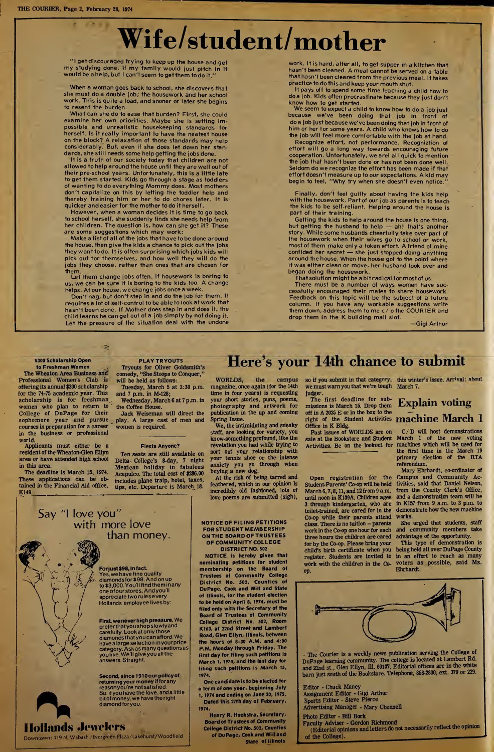$(1 - 1)$ 

# Wife/student/mother

"I get discouraged trying to keep up the house and get my studying done. If my family would just pitch in it would be a help, but <sup>I</sup> can'tseem to get them to do it."

When a woman goes back to school, she discovers that she must do a double job; the housework and her school work. This is quite a load, and sooner or later she begins to resent the burden.

What can she do to ease that burden? First, she could examine her own priorities. Maybe she is setting im possible and unrealistic housekeeping standards for herself. Is it really important to have the neatest house on the block? A relaxation of those standards may help considerably. But, even if she does let down her standards, she still needs some help getting the jobs done.

It is a truth of our society today that children are not allowed to help around the house until they are well out of their pre-school years. Unfortunately, this is a little late to get them started. Kids go through a stage as toddlers of wanting to do everything Mommy does. Most mothers don't capitalize on this by letting the toddler help and thereby training him or her to do chores later. It is quicker and easier for the mother to do it herself.

However, when a woman decides it is time to go back to school herself, she suddenly finds she needs help from her children. The question is, how can she get it? These are some suggestions which may work;

Make a list of all of the jobs that have to be done around the house, then give the kids a chance to pick out the jobs they want to do. It is often surprising which jobs kids will pick out for themselves, and how well they will do the jobs they choose, rather than ones that are chosen for them.

Let them change jobs often. If housework is boring to us, we can be sure it is boring to the kids too. A change helps. At our house, we change jobs once a week.

Don't nag, but don't step in and do the job for them. It requires a lot of self-control to be able to look at work that hasn't been done. If Mother does step in and does it, the child learns he can get out of a job simply by not doing it. Let the pressure of the situation deal with the undone

 $\mathbb{Z}_n^*$ 

## \$300 Scholarship Open to Freshman Women

The Wheaton Area Business and Professional Women's Club is offering its annual \$300 scholarship for the 74-75 academic year. This scholarship is for freshman. women who plan to return to College of DuPage for their sophomore year and pursue coursesin preparation for a career in the business or professional world.

Applicants must either be a resident of the Wheaton-Glen Ellyn area or have attended high school in this area

The deadline is March 15, 1974. These applications can be obtained in the Financial Aid office, These applications can be obtained in the Financial Aid office,<br>K149.

Say "I love you"

with more love

PLAY TRYOUTS Tryouts for Oliver Goldsmith's comedy, "She Stoops to Conquer," will be held as follows:

Tuesday, March 5 at 2:30 p.m. and 7 p.m. in M-128; Wednesday, March 6 at 7 p.m. in

the Coffee House. Jack Weiseman will direct the

play. A large cast of men and women is required.

## Fiesta Anyone?

Ten seats are still available on Delta College's 8-day, 7 night Mexican holiday in fabulous Acapulco. The total cost of \$286.00 includes plane traip, hotel, taxes, tips, etc. Departure is March 18.

WORLDS, the campus magazine, once again (for the 14th time in four years) is requesting your short stories, puns, poems, photography and artwork for publication in the up and coming

Spring Issue. We, the intimidating and sneaky staff, are looking for variety, you know-something profound, like the revelation you had while trying to sort out your relationship with your tennis shoe or the intense anxiety you go through when buying a new dog.

At the risk of being tarred and feathered, which in our opinion is incredibly old fashioned, lots of love poems are submitted (sigh),

## we mustwarn you that we're tough March 7. judge-

Here's your 14th chance to submit

drop them in the K building mail slot.

work. It is hard, after all, to get supper in a kitchen that hasn't been cleaned. A meal cannot be served on a table that hasn't been cleared from the previous meal. It takes

It pays off to spend some time teaching a child how to doa job. Kids often procrastinate because they just don't

We seem to expect a child to know how to do a job just because we've been doing that job in front of doa job just because we've been doing that job in front of him or her for some years. A child who knows how to do the job will feel more comfortable with the job at hand. Recognize effort, not performance. Recogniztion of effort will go a long way towards encouraging future cooperation. Unfortunately, we arel all quick to mention the job that hasn't been done or has not been done well. Seldom do we recognize the effort has been made if that effort doesn't measure up to our expectations. A kid may begin to teel, "Why try when she doesn't even notice." Finally, don't feel guilty about having the kids help with the housework. Part of our job as parents is to teach the kids to be self-reliant. Helping around the house is

Getting the kids to help around the house is one thing, but getting the husband to help — ah! that's another story. While some husbands cheerfully take over part of the housework when their wives go to school or work, most of them make only a token effort. A friend of mine confided her secret — she just stopped doing anything around the house. When the house got to the point where it was either clean or move, her husband took over and

That solution might be a bitradical for mostof us. There must be a number of ways women have successfully encouraged their mates to share housework. Feedback on this topic will be the subject of a future column. If you have any workable suggestions write them down,address them to me c/ <sup>o</sup> the COURIER and

practice to do this and keep your mouth shut.

know how to get started.

part of their training.

began doing the housework.

The first deadline for submissions is March 15. Drop them off in A 2025 E or in the box to the of  $\mathbb{R}$  at  $\mathbb{R}$  of the Student Activities **machine March 1** Office in K Bldg.

Past issues of WORLDS are on sale at the Bookstore and Student March <sup>1</sup> of the new voting Activities. Be on the lookout for

Student-Parents' Co-op will be held March 6,7,8,11, and 12 from 9 a.m. until noon in K139A. Children ages 3 through kindergarten, who are toilet-trained, are cared for in the Co-op while their parents attend class. There is no tuition - parents work in the Co-op one hour for each three hours the children are cared for by the Co-op. Please bring your child's birth certificate when you register. Students are invited to work with the children in the Co op.

so if you submit in that category, this winter's issue. Arrival: about

—Gigi Arthur

# Explain voting

C/D will host demonstrations machines which will be used for the first time in the March 19 primary election of the RTA referendum.

Mary Ehrhardt, co-ordinator of Campus and Community Activities, said that Daniel Nelson, from the County Clerk's Office, and a demonstration team will be in K157 from 9 a.m. to 3 p.m. to demonstrate how the new machine works.

She urged that students, staff and community members take advantage of the opportunity.

This type of demonstration is being held all over DuPage County in an effort to reach as many voters as possible, said Ms. Ehrhardt.



than money.

First, we never high pressure. We preferthat you shop slowlyand carefully. Lookatonly those diamondsthat you can afford. We havea large selection in your price category. Ask as many questions as you like. We ll give you all the answers. Straight.

Second, since 1910 our policy of r**eturning your money** if for any<br>reason you're not satisfied.<br>So, if you have the love, and a little bit of money, we have the right diamond for you.

# **A** Hollands Jewelers

Downtown: 119 N. Wabash/Evergreen Plaza/takehurst/Woodfield

The Courier is a weekly news publication serving the College of DuPage learning community. The college is located at Lambert Rd. and 22nd st., Glen Ellyn, Ill. 60137. Editorial offices are in the white barn just south of the Bookstore. Telephone, 858-2800, ext. 379 or 229.

Editor - Chuck Maney Assignment Editor - Gigi Arthur

Sports Editor - Steve Pierce

Advertising Manager - Mary Chennell

Photo Editor - Bill Bork Faculty Adviser - Gordon Richmond<br>(Editorial opinions and letters do not necessarily reflect the opinion of the College).

Open registration for the



Trustees of Community College District No. 502, Counties of DuPage, Cook and Will and State of Illinois, for the student election to be held on April 8, 1974, must be filed only with the Secretary of the Board of Trustees of Community College District No. 502, Room K163, at 22nd Street and Lambert Road, Glen Ellyn, Illinois, between the hours of 8:30  $A.M$ P.M. Monday through Friday. The first day for filing such petitions is March 1, 1974, and the last day for filing such petitions is March 15, 1974.

One candidate is to be elected for a term of one year, beginning July 1, 1974 and ending on June 30, 1975. Dated this 27th day of February,

1974.

Henry R. Hoekstra, Secretary, Board of Trustees of Community College District No. 502, Counties of DuPage, Cook and Will and State of Illinois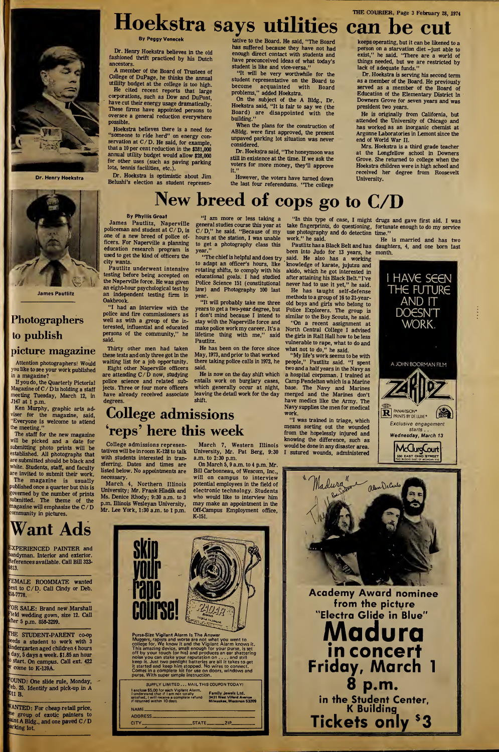## THE COURIER, Page 3 February 28, 1974 Hoekslra says utilities can be cut

By Peggy Venecek

Dr. Henry Hoekstra believes in the old fashioned thrift practiced by his Dutch ancestors.

A member of the Board of Trustees of College of DuPage, he thinks the annual utiliity budget at the college is too high.

He cited recent reports that large corporations, such as Dow and DuPont, have cut their energy usage dramatically. These firms have appointed persons to oversee a general reduction everywhere possible.

Hoekstra believes there is a need for "someone to ride herd" on energy con¬ servation at C/ D. He said, for example, that a 10 per cent reduction in the \$281,000 annual utility budget would allow \$28,000 for other uses (such as paving parking lots, tennis facilities, etc.).

Dr. Hoekstra is optimistic about Jim Belushi's election as student represen-

tative to the Board. He said, "The Board has suffered because they have not had enough direct contact with students and have preconceived ideas of what today's student is like and vice-versa."

"It will be very worthwhile for the student representative on the Board to<br>become acquainted with Board become acquainted with Board problems," added Hoekstra.

On the subject of the A Bldg., Dr. Hoekstra said, "It is fair to say we (the Board) are disappointed with the building."

When the plans for the construction of ABldg. were first approved, the present unpaved parking lot situation was never considered.

Dr. Hoekstra said, "The honeymoon was still in existence at the time. If we ask the voters for more money, they'll approve it."

However, the voters have turned down the last four referendums. "The college keeps operating, but it can be likened to a person on a starvation diet -just able to exist," he said. "There are a world of things needed, but we are restricted by lack of adequate funds."

Dr. Hoekstra is serving his second term as a member of the Board. He previously served as a member of the Board of Education of the Elementary District in Downers Grove for seven years and was president two years.

He is originally from California, but attended the University of Chicago and has worked as an inorganic chemist at Argonne Laboratories in Lemont since the end of World War II.

Mrs. Hoekstra is a third grade teacher at the Longfellow school in Downers Grove. She returned to college when the Hoekstra children were in high school and received her degree from Roosevelt University.

# New breed of cops go to C/D

## By Phyllis Groat

James Pautlitz, Naperville<br>policeman and student at C/D, is one of a new breed of police officers. For Naperville a planning education research program is used to get the kind of officers the city wants.

Pautlitz underwent intensive testing before being accepted on the Naperville force. He was given an eight-hour psychological test by an independent testing firm in Oakbrook.

"I had an interview with the police and fire commissioners as well as with a group of the interested, influential and educated persons of the community," he said.

Thirty other men had taken these tests and only three got In the waiting list for a job opportunity. Eight other Naperville officers are attending <sup>C</sup> / <sup>D</sup> now, studying police science and related subjects. Three or four more officers have already received associate degrees.

"I am more or less taking a general studies course this year at C/D," he said. "Because of my hours at the station, I was unable to get a photography class this year."

"The chief is helpful and does try to adapt an officer's hours, like rotating shifts, to comply with his educational goals. I had studied Police Science 151 (constitutional law) and Photography 100 last year.

"It will probably take me three yearsto get a two-year degree, but I don't mind because I intend to stay with the Naperville force and make police workmy career. It's a lifetime thing with me," said Pautlitz.

He has been on the force since May, 1973, and prior to that worked there taking police calls in 1972, he said.

He is now on the day shift which entails work on burglary cases, which generally occur at night, leaving the detail work for the day shift.

"In this type of case, I might take fingerprints, do questioning, use photography and do detection work." he said.

been into Judo for 13 years, he said. He also has a working knowledge of karate, jujutsu and akido, which he got interested in after attaining his Black Belt."I've never had to use it yet," he said.

He has taught self-defense methods to a group of 16 to 21-yearold boys and girls who belong to Police Explorers. The group is similar to the Boy Scouts, he said.

"On a recent assignment at North Central College I advised the girls in Rail Hall how to be less vulnerable to rape, what to do and what not to do," he said.

"My life's work seems to be with people," Pautlitz said. "I spent two and a half years in the Navy as a hospital corpsman. I trained at Camp Pendelton which is a Marine base. The Navy and Marines merged and the Marines don't have medics like the Army. The Navy supplies the men for medical work.

"I was trained in triage, which means sorting out the wounded from the hopelessly injured and knowing the difference, such as would be done in any disaster area. I sutured wounds, administered

drugs and gave first aid. I was fortunate enough to do my service time."

Pautlitz has a Black Belt and has daughters, 4, and one born last He is married and has two month.



## College admissions 'reps' here this week

College admissions represen tatives will be in room K-128 to talk with students interested in transferring. Dates and times are listed below. No appointments are necessary.

March 4, Northern Illinois University; Mr. Frank Hladik and Ms. Denice Rhody; 9:30 a.m. to 3 p.m. Illinois Wesleyan University, Mr. Lee York, 1:30 a.m. to <sup>1</sup> p.m.

March 7, Western Illinois University, Mr. Pat Berg, 9:30

On March 5, 9 a.m. to 4 p.m. Mr. Bill Carbonneau, of Wescom, Inc., will on campus to interview potential employees in the field of electronic technology. Students who would like to interview him may make an appointment in the Off-Campus Employment office, K-151.

a.m. to 2:30 p.m.

<sup>land</sup>yman. Interior and exterior. <sup>References available. Call Bill 3**23-**<br><sup>1813</sup>.</sup>

EMALE ROOMMATE wanted lext to C/D. Call Cindy or Deb.<br>58-7778.

OR SALE: Brand new Marshall 'eld wedding gown, size 12. Call fter 5 p.m. 858-3299.

fHE STUDENT-PARENT co-op eeds a student to work with 3 ndergarten aged children 4 hours day, 5 days a week. \$1.85 an hour <sup>0</sup> start. On campus. Call ext. 422 come to K-139A.

OUND: One slide rule, Monday, <sup>eb.</sup> 25. Identify and pick-up in A<br><sup>01</sup>1 B.

'ANTED: For cheap retail price, <sup>ne</sup> group of exotic painters to<br><sup>aint</sup> A Bldg., and one paved C/D arking lot.







Dr. Henry Hoekstra

Attention photographers! Would you like to see your work published

If you do, the Quarterly Pictorial Magazine of C/ <sup>D</sup> is holding <sup>a</sup> staff meeting Tuesday, March 12, in J147 at <sup>1</sup> p.m.

Ken Murphy, graphic arts adviser for the magazine, said, "Everyone is welcome to attend the meeting."

The staff for the new magazine will be picked and a date for submitting photo prints will be established. All photographs that are submitted should be black and white. Students, staff, and faculty are invited to submit their work. The magazine is usually published once a quarter but this is governed by the number of prints submitted. The theme of the submitted. The theme of the magazine will emphasize the  $C/D$ community in pictures.

# Want Ads

# EXPERIENCED PAINTER and

# in a magazine?